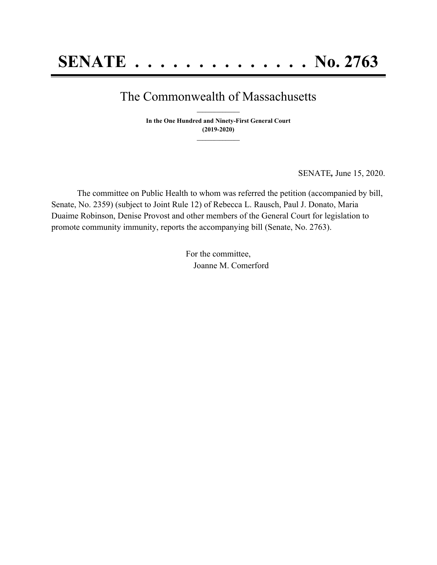## The Commonwealth of Massachusetts **\_\_\_\_\_\_\_\_\_\_\_\_\_\_\_**

**In the One Hundred and Ninety-First General Court (2019-2020) \_\_\_\_\_\_\_\_\_\_\_\_\_\_\_**

SENATE*,* June 15, 2020.

The committee on Public Health to whom was referred the petition (accompanied by bill, Senate, No. 2359) (subject to Joint Rule 12) of Rebecca L. Rausch, Paul J. Donato, Maria Duaime Robinson, Denise Provost and other members of the General Court for legislation to promote community immunity, reports the accompanying bill (Senate, No. 2763).

> For the committee, Joanne M. Comerford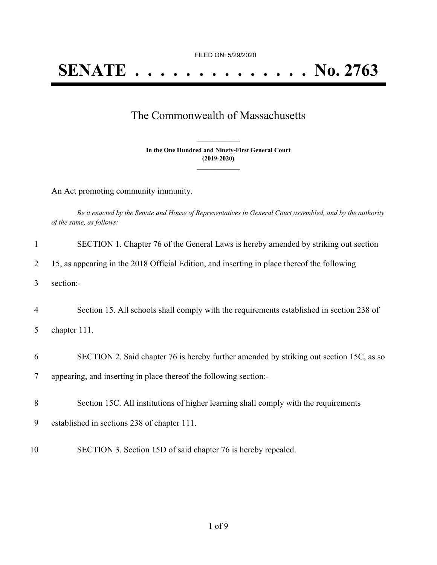FILED ON: 5/29/2020

## The Commonwealth of Massachusetts

**In the One Hundred and Ninety-First General Court (2019-2020) \_\_\_\_\_\_\_\_\_\_\_\_\_\_\_**

**\_\_\_\_\_\_\_\_\_\_\_\_\_\_\_**

An Act promoting community immunity.

|                          | Be it enacted by the Senate and House of Representatives in General Court assembled, and by the authority |  |  |
|--------------------------|-----------------------------------------------------------------------------------------------------------|--|--|
| of the same, as follows: |                                                                                                           |  |  |

| 1              | SECTION 1. Chapter 76 of the General Laws is hereby amended by striking out section         |
|----------------|---------------------------------------------------------------------------------------------|
| 2              | 15, as appearing in the 2018 Official Edition, and inserting in place thereof the following |
| 3              | section:-                                                                                   |
| $\overline{4}$ | Section 15. All schools shall comply with the requirements established in section 238 of    |
| 5              | chapter 111.                                                                                |
| 6              | SECTION 2. Said chapter 76 is hereby further amended by striking out section 15C, as so     |
| 7              | appearing, and inserting in place thereof the following section:-                           |
| 8              | Section 15C. All institutions of higher learning shall comply with the requirements         |
| 9              | established in sections 238 of chapter 111.                                                 |
| 10             | SECTION 3. Section 15D of said chapter 76 is hereby repealed.                               |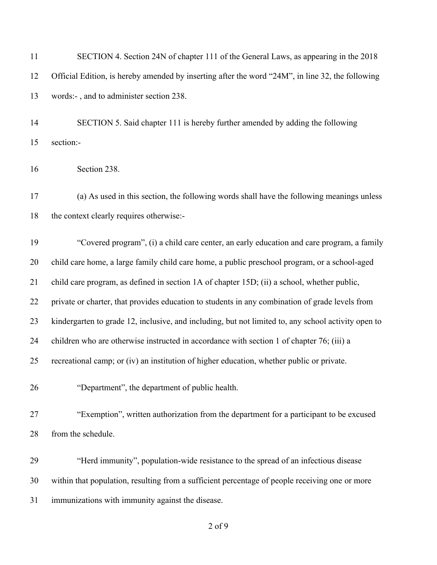| 11 | SECTION 4. Section 24N of chapter 111 of the General Laws, as appearing in the 2018                 |
|----|-----------------------------------------------------------------------------------------------------|
| 12 | Official Edition, is hereby amended by inserting after the word "24M", in line 32, the following    |
| 13 | words:-, and to administer section 238.                                                             |
| 14 | SECTION 5. Said chapter 111 is hereby further amended by adding the following                       |
| 15 | section:-                                                                                           |
| 16 | Section 238.                                                                                        |
| 17 | (a) As used in this section, the following words shall have the following meanings unless           |
| 18 | the context clearly requires otherwise:-                                                            |
| 19 | "Covered program", (i) a child care center, an early education and care program, a family           |
| 20 | child care home, a large family child care home, a public preschool program, or a school-aged       |
| 21 | child care program, as defined in section 1A of chapter 15D; (ii) a school, whether public,         |
| 22 | private or charter, that provides education to students in any combination of grade levels from     |
| 23 | kindergarten to grade 12, inclusive, and including, but not limited to, any school activity open to |
| 24 | children who are otherwise instructed in accordance with section 1 of chapter 76; (iii) a           |
| 25 | recreational camp; or (iv) an institution of higher education, whether public or private.           |
| 26 | "Department", the department of public health.                                                      |
| 27 | "Exemption", written authorization from the department for a participant to be excused              |
| 28 | from the schedule.                                                                                  |
| 29 | "Herd immunity", population-wide resistance to the spread of an infectious disease                  |
| 30 | within that population, resulting from a sufficient percentage of people receiving one or more      |
| 31 | immunizations with immunity against the disease.                                                    |
|    |                                                                                                     |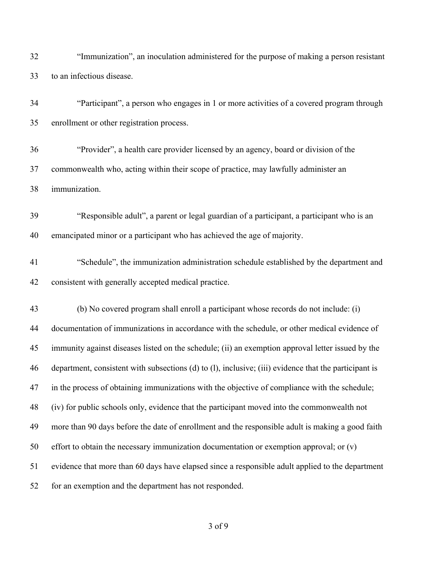| 32 | "Immunization", an inoculation administered for the purpose of making a person resistant              |
|----|-------------------------------------------------------------------------------------------------------|
| 33 | to an infectious disease.                                                                             |
| 34 | "Participant", a person who engages in 1 or more activities of a covered program through              |
| 35 | enrollment or other registration process.                                                             |
| 36 | "Provider", a health care provider licensed by an agency, board or division of the                    |
| 37 | commonwealth who, acting within their scope of practice, may lawfully administer an                   |
| 38 | immunization.                                                                                         |
| 39 | "Responsible adult", a parent or legal guardian of a participant, a participant who is an             |
| 40 | emancipated minor or a participant who has achieved the age of majority.                              |
| 41 | "Schedule", the immunization administration schedule established by the department and                |
| 42 | consistent with generally accepted medical practice.                                                  |
| 43 | (b) No covered program shall enroll a participant whose records do not include: (i)                   |
| 44 | documentation of immunizations in accordance with the schedule, or other medical evidence of          |
| 45 | immunity against diseases listed on the schedule; (ii) an exemption approval letter issued by the     |
| 46 | department, consistent with subsections (d) to (l), inclusive; (iii) evidence that the participant is |
| 47 | in the process of obtaining immunizations with the objective of compliance with the schedule;         |
| 48 | (iv) for public schools only, evidence that the participant moved into the commonwealth not           |
| 49 | more than 90 days before the date of enrollment and the responsible adult is making a good faith      |
| 50 | effort to obtain the necessary immunization documentation or exemption approval; or $(v)$             |
| 51 | evidence that more than 60 days have elapsed since a responsible adult applied to the department      |
| 52 | for an exemption and the department has not responded.                                                |
|    |                                                                                                       |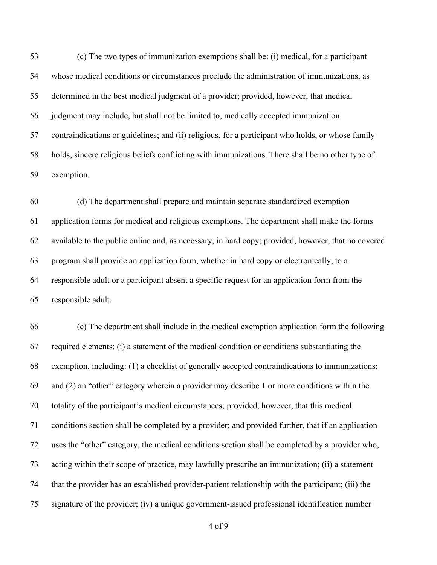(c) The two types of immunization exemptions shall be: (i) medical, for a participant whose medical conditions or circumstances preclude the administration of immunizations, as determined in the best medical judgment of a provider; provided, however, that medical judgment may include, but shall not be limited to, medically accepted immunization contraindications or guidelines; and (ii) religious, for a participant who holds, or whose family holds, sincere religious beliefs conflicting with immunizations. There shall be no other type of exemption.

 (d) The department shall prepare and maintain separate standardized exemption application forms for medical and religious exemptions. The department shall make the forms available to the public online and, as necessary, in hard copy; provided, however, that no covered program shall provide an application form, whether in hard copy or electronically, to a responsible adult or a participant absent a specific request for an application form from the responsible adult.

 (e) The department shall include in the medical exemption application form the following required elements: (i) a statement of the medical condition or conditions substantiating the exemption, including: (1) a checklist of generally accepted contraindications to immunizations; and (2) an "other" category wherein a provider may describe 1 or more conditions within the totality of the participant's medical circumstances; provided, however, that this medical conditions section shall be completed by a provider; and provided further, that if an application uses the "other" category, the medical conditions section shall be completed by a provider who, acting within their scope of practice, may lawfully prescribe an immunization; (ii) a statement that the provider has an established provider-patient relationship with the participant; (iii) the signature of the provider; (iv) a unique government-issued professional identification number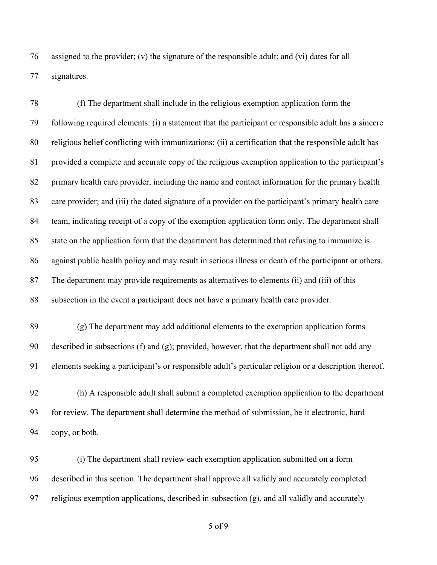assigned to the provider; (v) the signature of the responsible adult; and (vi) dates for all signatures.

 (f) The department shall include in the religious exemption application form the following required elements: (i) a statement that the participant or responsible adult has a sincere religious belief conflicting with immunizations; (ii) a certification that the responsible adult has provided a complete and accurate copy of the religious exemption application to the participant's primary health care provider, including the name and contact information for the primary health care provider; and (iii) the dated signature of a provider on the participant's primary health care team, indicating receipt of a copy of the exemption application form only. The department shall state on the application form that the department has determined that refusing to immunize is against public health policy and may result in serious illness or death of the participant or others. The department may provide requirements as alternatives to elements (ii) and (iii) of this subsection in the event a participant does not have a primary health care provider.

 (g) The department may add additional elements to the exemption application forms 90 described in subsections (f) and (g); provided, however, that the department shall not add any elements seeking a participant's or responsible adult's particular religion or a description thereof.

 (h) A responsible adult shall submit a completed exemption application to the department for review. The department shall determine the method of submission, be it electronic, hard copy, or both.

 (i) The department shall review each exemption application submitted on a form described in this section. The department shall approve all validly and accurately completed religious exemption applications, described in subsection (g), and all validly and accurately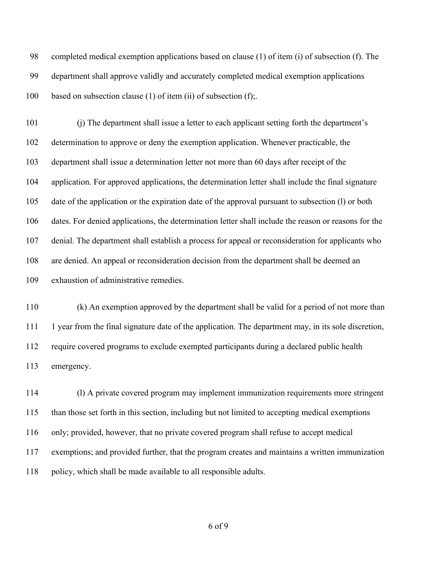completed medical exemption applications based on clause (1) of item (i) of subsection (f). The department shall approve validly and accurately completed medical exemption applications 100 based on subsection clause (1) of item (ii) of subsection (f);

 (j) The department shall issue a letter to each applicant setting forth the department's determination to approve or deny the exemption application. Whenever practicable, the department shall issue a determination letter not more than 60 days after receipt of the application. For approved applications, the determination letter shall include the final signature date of the application or the expiration date of the approval pursuant to subsection (l) or both dates. For denied applications, the determination letter shall include the reason or reasons for the denial. The department shall establish a process for appeal or reconsideration for applicants who are denied. An appeal or reconsideration decision from the department shall be deemed an exhaustion of administrative remedies.

 (k) An exemption approved by the department shall be valid for a period of not more than 1 year from the final signature date of the application. The department may, in its sole discretion, require covered programs to exclude exempted participants during a declared public health emergency.

 (l) A private covered program may implement immunization requirements more stringent than those set forth in this section, including but not limited to accepting medical exemptions only; provided, however, that no private covered program shall refuse to accept medical exemptions; and provided further, that the program creates and maintains a written immunization policy, which shall be made available to all responsible adults.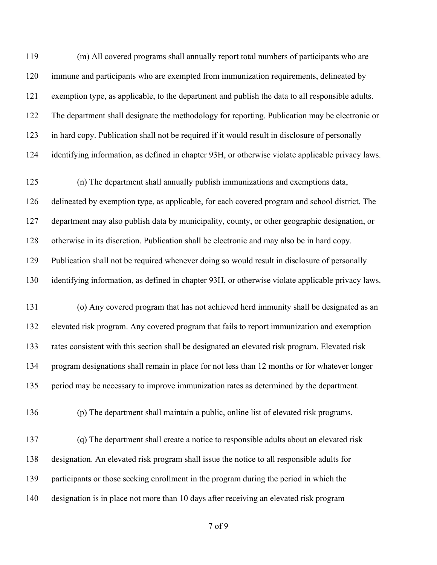(m) All covered programs shall annually report total numbers of participants who are immune and participants who are exempted from immunization requirements, delineated by exemption type, as applicable, to the department and publish the data to all responsible adults. The department shall designate the methodology for reporting. Publication may be electronic or in hard copy. Publication shall not be required if it would result in disclosure of personally identifying information, as defined in chapter 93H, or otherwise violate applicable privacy laws. (n) The department shall annually publish immunizations and exemptions data, delineated by exemption type, as applicable, for each covered program and school district. The department may also publish data by municipality, county, or other geographic designation, or otherwise in its discretion. Publication shall be electronic and may also be in hard copy. Publication shall not be required whenever doing so would result in disclosure of personally identifying information, as defined in chapter 93H, or otherwise violate applicable privacy laws. (o) Any covered program that has not achieved herd immunity shall be designated as an elevated risk program. Any covered program that fails to report immunization and exemption rates consistent with this section shall be designated an elevated risk program. Elevated risk program designations shall remain in place for not less than 12 months or for whatever longer period may be necessary to improve immunization rates as determined by the department. (p) The department shall maintain a public, online list of elevated risk programs. (q) The department shall create a notice to responsible adults about an elevated risk designation. An elevated risk program shall issue the notice to all responsible adults for participants or those seeking enrollment in the program during the period in which the designation is in place not more than 10 days after receiving an elevated risk program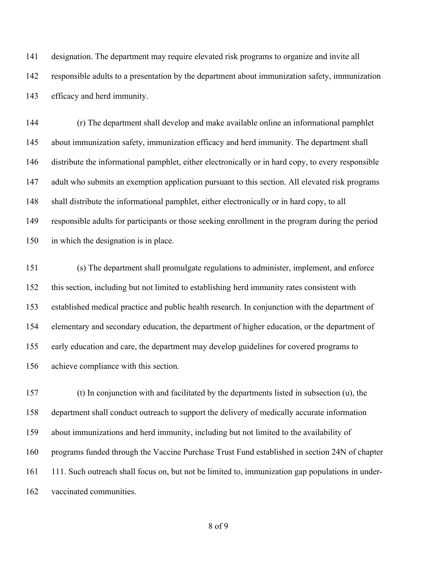designation. The department may require elevated risk programs to organize and invite all responsible adults to a presentation by the department about immunization safety, immunization efficacy and herd immunity.

 (r) The department shall develop and make available online an informational pamphlet about immunization safety, immunization efficacy and herd immunity. The department shall distribute the informational pamphlet, either electronically or in hard copy, to every responsible adult who submits an exemption application pursuant to this section. All elevated risk programs shall distribute the informational pamphlet, either electronically or in hard copy, to all responsible adults for participants or those seeking enrollment in the program during the period in which the designation is in place.

 (s) The department shall promulgate regulations to administer, implement, and enforce this section, including but not limited to establishing herd immunity rates consistent with established medical practice and public health research. In conjunction with the department of elementary and secondary education, the department of higher education, or the department of early education and care, the department may develop guidelines for covered programs to achieve compliance with this section.

 (t) In conjunction with and facilitated by the departments listed in subsection (u), the department shall conduct outreach to support the delivery of medically accurate information about immunizations and herd immunity, including but not limited to the availability of programs funded through the Vaccine Purchase Trust Fund established in section 24N of chapter 111. Such outreach shall focus on, but not be limited to, immunization gap populations in under-vaccinated communities.